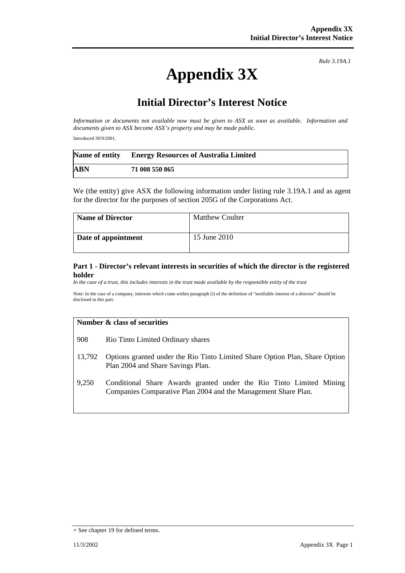# **Appendix 3X**

*Rule 3.19A.1*

## **Initial Director's Interest Notice**

*Information or documents not available now must be given to ASX as soon as available. Information and documents given to ASX become ASX's property and may be made public.* 

Introduced 30/9/2001.

| Name of entity | <b>Energy Resources of Australia Limited</b> |
|----------------|----------------------------------------------|
| <b>ABN</b>     | 71 008 550 865                               |

We (the entity) give ASX the following information under listing rule 3.19A.1 and as agent for the director for the purposes of section 205G of the Corporations Act.

| <b>Name of Director</b> | <b>Matthew Coulter</b> |
|-------------------------|------------------------|
| Date of appointment     | 15 June 2010           |

#### **Part 1 - Director's relevant interests in securities of which the director is the registered holder**

*In the case of a trust, this includes interests in the trust made available by the responsible entity of the trust*

Note: In the case of a company, interests which come within paragraph (i) of the definition of "notifiable interest of a director" should be disclosed in this part.

#### **Number & class of securities**

- 908 Rio Tinto Limited Ordinary shares
- 13,792 Options granted under the Rio Tinto Limited Share Option Plan, Share Option Plan 2004 and Share Savings Plan.
- 9,250 Conditional Share Awards granted under the Rio Tinto Limited Mining Companies Comparative Plan 2004 and the Management Share Plan.

<sup>+</sup> See chapter 19 for defined terms.